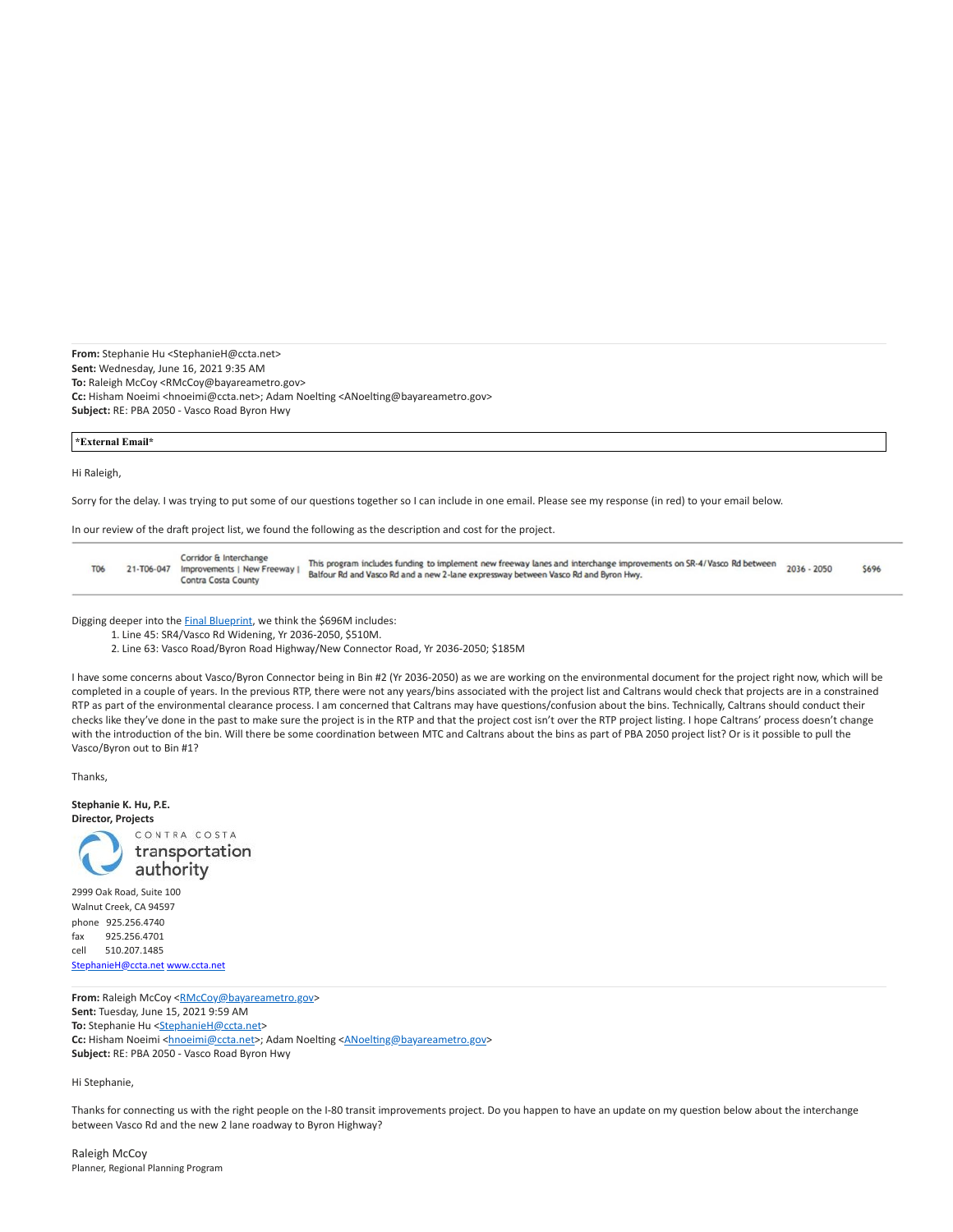**From:** Stephanie Hu <StephanieH@ccta.net> **Sent:** Wednesday, June 16, 2021 9:35 AM **To:** Raleigh McCoy <RMcCoy@bayareametro.gov> **Cc:** Hisham Noeimi <hnoeimi@ccta.net>; Adam Noelting <ANoelting@bayareametro.gov> **Subject:** RE: PBA 2050 - Vasco Road Byron Hwy

#### **\*External Email\***

#### Hi Raleigh,

Sorry for the delay. I was trying to put some of our questions together so I can include in one email. Please see my response (in red) to your email below.

In our review of the draft project list, we found the following as the description and cost for the project.

| <b>T06</b> |  | Corridor & Interchange<br>21-T06-047 Improvements   New Freeway  <br>Contra Costa County | This program includes funding to implement new freeway lanes and interchange improvements on SR-4/Vasco Rd between<br>Balfour Rd and Vasco Rd and a new 2-lane expressway between Vasco Rd and Byron Hwy. | 2036 - 2050 | S696 |
|------------|--|------------------------------------------------------------------------------------------|-----------------------------------------------------------------------------------------------------------------------------------------------------------------------------------------------------------|-------------|------|
|------------|--|------------------------------------------------------------------------------------------|-----------------------------------------------------------------------------------------------------------------------------------------------------------------------------------------------------------|-------------|------|

Digging deeper into the [Final Blueprint](https://nam10.safelinks.protection.outlook.com/?url=https%3A%2F%2Fwww.planbayarea.org%2Fsites%2Fdefault%2Ffiles%2FFinal_Blueprint_Transportation_Element_Associated_Projects_Sept_2020.pdf&data=04%7C01%7Cplanbayareainfo%40bayareametro.gov%7C9cab1995807a4eba18ef08d931acff92%7Cb084c4a0bb194142b70382ea65a5eeb2%7C0%7C1%7C637595441387350229%7CUnknown%7CTWFpbGZsb3d8eyJWIjoiMC4wLjAwMDAiLCJQIjoiV2luMzIiLCJBTiI6Ik1haWwiLCJXVCI6Mn0%3D%7C1000&sdata=9a3L%2FxaQM4etQWiXhSMzOQ2440ngbZfpWtJEeANjYAY%3D&reserved=0), we think the \$696M includes:

1. Line 45: SR4/Vasco Rd Widening, Yr 2036-2050, \$510M.

2. Line 63: Vasco Road/Byron Road Highway/New Connector Road, Yr 2036-2050; \$185M

I have some concerns about Vasco/Byron Connector being in Bin #2 (Yr 2036-2050) as we are working on the environmental document for the project right now, which will be completed in a couple of years. In the previous RTP, there were not any years/bins associated with the project list and Caltrans would check that projects are in a constrained RTP as part of the environmental clearance process. I am concerned that Caltrans may have questions/confusion about the bins. Technically, Caltrans should conduct their checks like they've done in the past to make sure the project is in the RTP and that the project cost isn't over the RTP project listing. I hope Caltrans' process doesn't change with the introduction of the bin. Will there be some coordination between MTC and Caltrans about the bins as part of PBA 2050 project list? Or is it possible to pull the Vasco/Byron out to Bin #1?

Thanks,



Walnut Creek, CA 94597 phone 925.256.4740 fax 925.256.4701 cell 510.207.1485 [StephanieH@ccta.net](mailto:StephanieH@ccta.net) [www.ccta.net](https://nam10.safelinks.protection.outlook.com/?url=http%3A%2F%2Fwww.ccta.net%2F&data=04%7C01%7Cplanbayareainfo%40bayareametro.gov%7C9cab1995807a4eba18ef08d931acff92%7Cb084c4a0bb194142b70382ea65a5eeb2%7C0%7C1%7C637595441387360183%7CUnknown%7CTWFpbGZsb3d8eyJWIjoiMC4wLjAwMDAiLCJQIjoiV2luMzIiLCJBTiI6Ik1haWwiLCJXVCI6Mn0%3D%7C1000&sdata=m1gjUUCPZpymjLQxTtoMBY2woGAoMlzLvcqYqag%2Feso%3D&reserved=0)

From: Raleigh McCoy [<RMcCoy@bayareametro.gov>](mailto:RMcCoy@bayareametro.gov) **Sent:** Tuesday, June 15, 2021 9:59 AM To: Stephanie Hu <[StephanieH@ccta.net](mailto:StephanieH@ccta.net)> Cc: Hisham Noeimi [<hnoeimi@ccta.net](mailto:hnoeimi@ccta.net)>; Adam Noelting [<ANoelting@bayareametro.gov>](mailto:ANoelting@bayareametro.gov) **Subject:** RE: PBA 2050 - Vasco Road Byron Hwy

Hi Stephanie,

Thanks for connecting us with the right people on the I-80 transit improvements project. Do you happen to have an update on my question below about the interchange between Vasco Rd and the new 2 lane roadway to Byron Highway?

Raleigh McCoy Planner, Regional Planning Program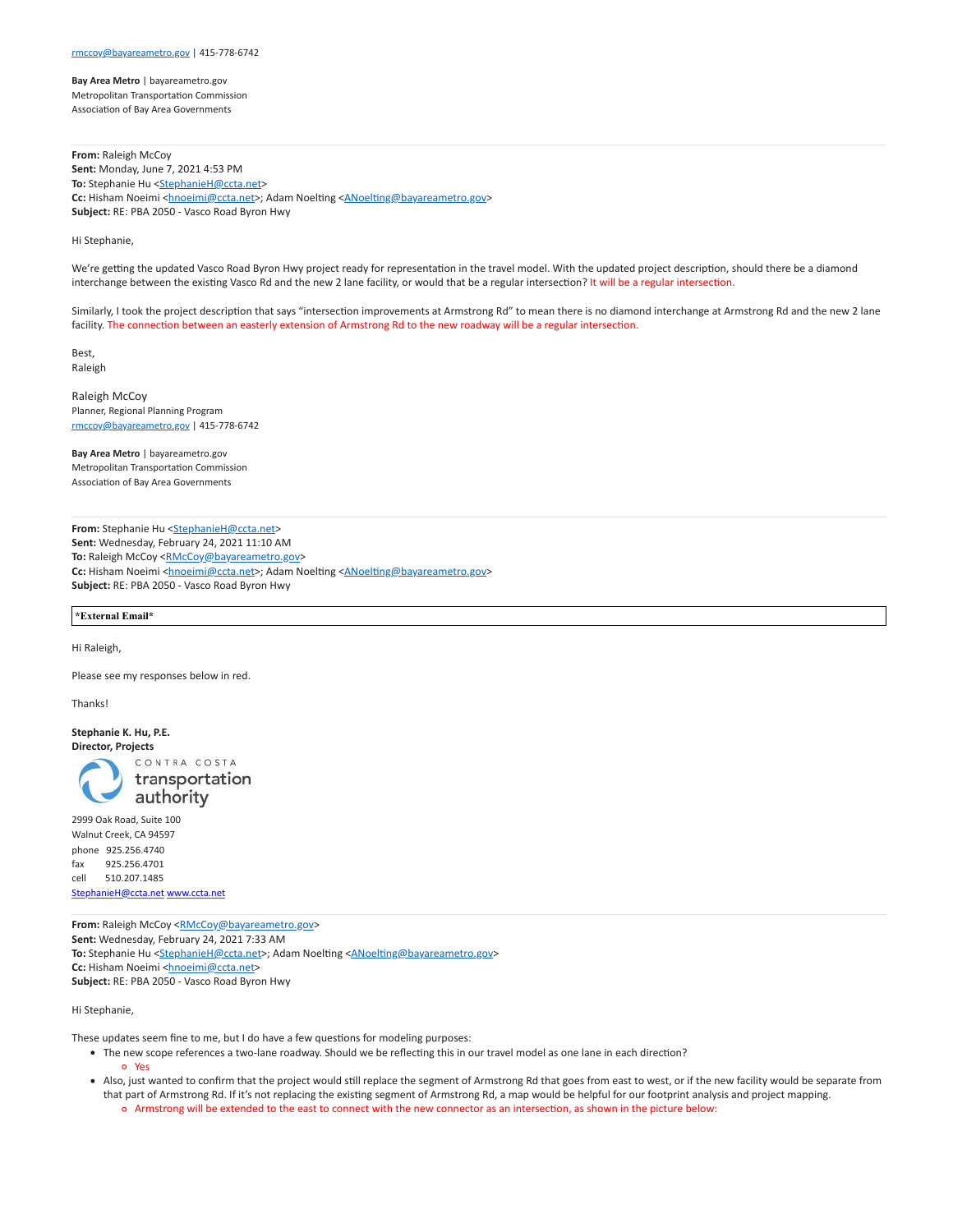**Bay Area Metro** | bayareametro.gov Metropolitan Transportation Commission Association of Bay Area Governments

**From:** Raleigh McCoy **Sent:** Monday, June 7, 2021 4:53 PM To: Stephanie Hu <[StephanieH@ccta.net](mailto:StephanieH@ccta.net)> **Cc:** Hisham Noeimi [<hnoeimi@ccta.net](mailto:hnoeimi@ccta.net)>; Adam Noelting [<ANoelting@bayareametro.gov>](mailto:ANoelting@bayareametro.gov) **Subject:** RE: PBA 2050 - Vasco Road Byron Hwy

# Hi Stephanie,

We're getting the updated Vasco Road Byron Hwy project ready for representation in the travel model. With the updated project description, should there be a diamond interchange between the existing Vasco Rd and the new 2 lane facility, or would that be a regular intersection? It will be a regular intersection.

Similarly, I took the project description that says "intersection improvements at Armstrong Rd" to mean there is no diamond interchange at Armstrong Rd and the new 2 lane facility. The connection between an easterly extension of Armstrong Rd to the new roadway will be a regular intersection.

Best, Raleigh

Raleigh McCoy Planner, Regional Planning Program [rmccoy@bayareametro.gov](mailto:rmccoy@bayareametro.gov) | 415-778-6742

**Bay Area Metro** | bayareametro.gov Metropolitan Transportation Commission Association of Bay Area Governments

From: Stephanie Hu [<StephanieH@ccta.net>](mailto:StephanieH@ccta.net) **Sent:** Wednesday, February 24, 2021 11:10 AM To: Raleigh McCoy <[RMcCoy@bayareametro.gov>](mailto:RMcCoy@bayareametro.gov) **Cc:** Hisham Noeimi [<hnoeimi@ccta.net](mailto:hnoeimi@ccta.net)>; Adam Noelting [<ANoelting@bayareametro.gov>](mailto:ANoelting@bayareametro.gov) **Subject:** RE: PBA 2050 - Vasco Road Byron Hwy

**\*External Email\***

Hi Raleigh,

Please see my responses below in red.

**Thanks!** 

**Stephanie K. Hu, P.E. Director, Projects**

> CONTRA COSTA transportation authority

2999 Oak Road, Suite 100 Walnut Creek, CA 94597 phone 925.256.4740 fax 925.256.4701 cell 510.207.1485 [StephanieH@ccta.net](mailto:StephanieH@ccta.net) [www.ccta.net](https://nam10.safelinks.protection.outlook.com/?url=http%3A%2F%2Fwww.ccta.net%2F&data=04%7C01%7Cplanbayareainfo%40bayareametro.gov%7C9cab1995807a4eba18ef08d931acff92%7Cb084c4a0bb194142b70382ea65a5eeb2%7C0%7C1%7C637595441387360183%7CUnknown%7CTWFpbGZsb3d8eyJWIjoiMC4wLjAwMDAiLCJQIjoiV2luMzIiLCJBTiI6Ik1haWwiLCJXVCI6Mn0%3D%7C1000&sdata=m1gjUUCPZpymjLQxTtoMBY2woGAoMlzLvcqYqag%2Feso%3D&reserved=0)

From: Raleigh McCoy [<RMcCoy@bayareametro.gov>](mailto:RMcCoy@bayareametro.gov) **Sent:** Wednesday, February 24, 2021 7:33 AM **To:** Stephanie Hu <[StephanieH@ccta.net](mailto:StephanieH@ccta.net)>; Adam Noelting <[ANoelting@bayareametro.gov>](mailto:ANoelting@bayareametro.gov) Cc: Hisham Noeimi [<hnoeimi@ccta.net](mailto:hnoeimi@ccta.net)> **Subject:** RE: PBA 2050 - Vasco Road Byron Hwy

Hi Stephanie,

These updates seem fine to me, but I do have a few questions for modeling purposes:

- The new scope references a two-lane roadway. Should we be reflecting this in our travel model as one lane in each direction?
	- Yes
- Also, just wanted to confirm that the project would still replace the segment of Armstrong Rd that goes from east to west, or if the new facility would be separate from that part of Armstrong Rd. If it's not replacing the existing segment of Armstrong Rd, a map would be helpful for our footprint analysis and project mapping. Armstrong will be extended to the east to connect with the new connector as an intersection, as shown in the picture below: